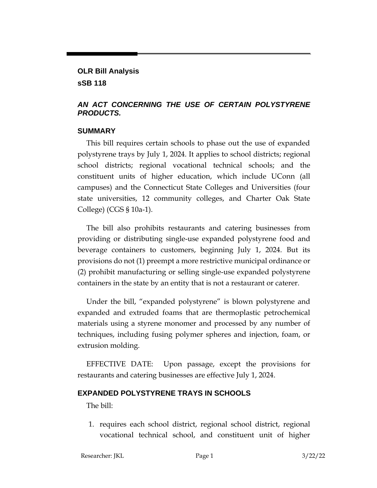# **OLR Bill Analysis**

**sSB 118**

## *AN ACT CONCERNING THE USE OF CERTAIN POLYSTYRENE PRODUCTS.*

### **SUMMARY**

This bill requires certain schools to phase out the use of expanded polystyrene trays by July 1, 2024. It applies to school districts; regional school districts; regional vocational technical schools; and the constituent units of higher education, which include UConn (all campuses) and the Connecticut State Colleges and Universities (four state universities, 12 community colleges, and Charter Oak State College) (CGS § 10a-1).

The bill also prohibits restaurants and catering businesses from providing or distributing single-use expanded polystyrene food and beverage containers to customers, beginning July 1, 2024. But its provisions do not (1) preempt a more restrictive municipal ordinance or (2) prohibit manufacturing or selling single-use expanded polystyrene containers in the state by an entity that is not a restaurant or caterer.

Under the bill, "expanded polystyrene" is blown polystyrene and expanded and extruded foams that are thermoplastic petrochemical materials using a styrene monomer and processed by any number of techniques, including fusing polymer spheres and injection, foam, or extrusion molding.

EFFECTIVE DATE: Upon passage, except the provisions for restaurants and catering businesses are effective July 1, 2024.

# **EXPANDED POLYSTYRENE TRAYS IN SCHOOLS**

The bill:

1. requires each school district, regional school district, regional vocational technical school, and constituent unit of higher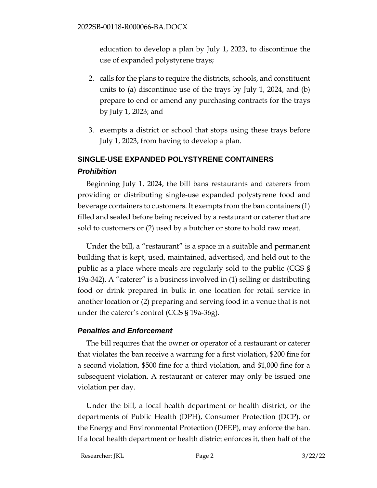education to develop a plan by July 1, 2023, to discontinue the use of expanded polystyrene trays;

- 2. calls for the plans to require the districts, schools, and constituent units to (a) discontinue use of the trays by July 1, 2024, and (b) prepare to end or amend any purchasing contracts for the trays by July 1, 2023; and
- 3. exempts a district or school that stops using these trays before July 1, 2023, from having to develop a plan.

# **SINGLE-USE EXPANDED POLYSTYRENE CONTAINERS** *Prohibition*

Beginning July 1, 2024, the bill bans restaurants and caterers from providing or distributing single-use expanded polystyrene food and beverage containers to customers. It exempts from the ban containers (1) filled and sealed before being received by a restaurant or caterer that are sold to customers or (2) used by a butcher or store to hold raw meat.

Under the bill, a "restaurant" is a space in a suitable and permanent building that is kept, used, maintained, advertised, and held out to the public as a place where meals are regularly sold to the public (CGS § 19a-342). A "caterer" is a business involved in (1) selling or distributing food or drink prepared in bulk in one location for retail service in another location or (2) preparing and serving food in a venue that is not under the caterer's control (CGS § 19a-36g).

### *Penalties and Enforcement*

The bill requires that the owner or operator of a restaurant or caterer that violates the ban receive a warning for a first violation, \$200 fine for a second violation, \$500 fine for a third violation, and \$1,000 fine for a subsequent violation. A restaurant or caterer may only be issued one violation per day.

Under the bill, a local health department or health district, or the departments of Public Health (DPH), Consumer Protection (DCP), or the Energy and Environmental Protection (DEEP), may enforce the ban. If a local health department or health district enforces it, then half of the